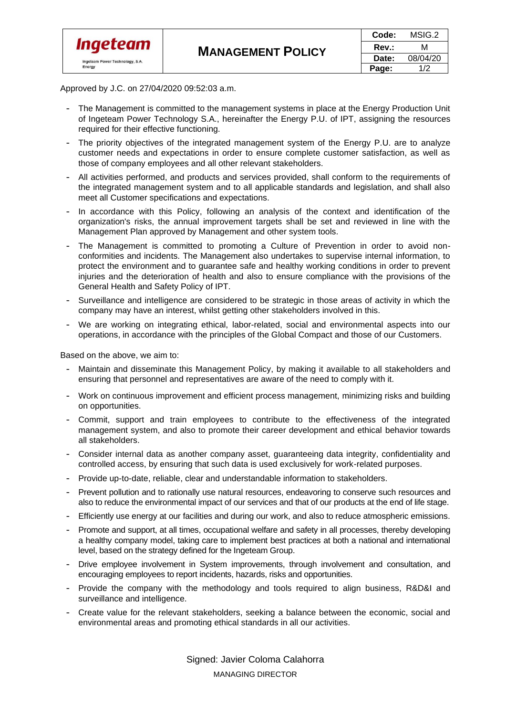

| Code: | MSIG.2   |
|-------|----------|
| Rev.: | м        |
| Date: | 08/04/20 |
| Page: | 1/2      |

Approved by J.C. on 27/04/2020 09:52:03 a.m.

- The Management is committed to the management systems in place at the Energy Production Unit of Ingeteam Power Technology S.A., hereinafter the Energy P.U. of IPT, assigning the resources required for their effective functioning.
- The priority objectives of the integrated management system of the Energy P.U. are to analyze customer needs and expectations in order to ensure complete customer satisfaction, as well as those of company employees and all other relevant stakeholders.
- All activities performed, and products and services provided, shall conform to the requirements of the integrated management system and to all applicable standards and legislation, and shall also meet all Customer specifications and expectations.
- In accordance with this Policy, following an analysis of the context and identification of the organization's risks, the annual improvement targets shall be set and reviewed in line with the Management Plan approved by Management and other system tools.
- The Management is committed to promoting a Culture of Prevention in order to avoid nonconformities and incidents. The Management also undertakes to supervise internal information, to protect the environment and to guarantee safe and healthy working conditions in order to prevent injuries and the deterioration of health and also to ensure compliance with the provisions of the General Health and Safety Policy of IPT.
- Surveillance and intelligence are considered to be strategic in those areas of activity in which the company may have an interest, whilst getting other stakeholders involved in this.
- We are working on integrating ethical, labor-related, social and environmental aspects into our operations, in accordance with the principles of the Global Compact and those of our Customers.

Based on the above, we aim to:

- Maintain and disseminate this Management Policy, by making it available to all stakeholders and ensuring that personnel and representatives are aware of the need to comply with it.
- Work on continuous improvement and efficient process management, minimizing risks and building on opportunities.
- Commit, support and train employees to contribute to the effectiveness of the integrated management system, and also to promote their career development and ethical behavior towards all stakeholders.
- Consider internal data as another company asset, guaranteeing data integrity, confidentiality and controlled access, by ensuring that such data is used exclusively for work-related purposes.
- Provide up-to-date, reliable, clear and understandable information to stakeholders.
- Prevent pollution and to rationally use natural resources, endeavoring to conserve such resources and also to reduce the environmental impact of our services and that of our products at the end of life stage.
- Efficiently use energy at our facilities and during our work, and also to reduce atmospheric emissions.
- Promote and support, at all times, occupational welfare and safety in all processes, thereby developing a healthy company model, taking care to implement best practices at both a national and international level, based on the strategy defined for the Ingeteam Group.
- Drive employee involvement in System improvements, through involvement and consultation, and encouraging employees to report incidents, hazards, risks and opportunities.
- Provide the company with the methodology and tools required to align business, R&D&I and surveillance and intelligence.
- Create value for the relevant stakeholders, seeking a balance between the economic, social and environmental areas and promoting ethical standards in all our activities.

Signed: Javier Coloma Calahorra MANAGING DIRECTOR